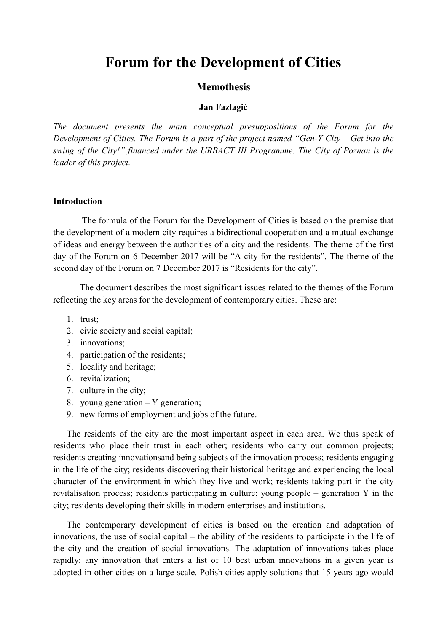# Forum for the Development of Cities

# Memothesis

## Jan Fazlagić

*The document presents the main conceptual presuppositions of the Forum for the Development of Cities. The Forum is a part of the project named "Gen-Y City – Get into the swing of the City!" financed under the URBACT III Programme. The City of Poznan is the leader of this project.*

## Introduction

The formula of the Forum for the Development of Cities is based on the premise that the development of a modern city requires a bidirectional cooperation and a mutual exchange of ideas and energy between the authorities of a city and the residents. The theme of the first day of the Forum on 6 December 2017 will be "A city for the residents". The theme of the second day of the Forum on 7 December 2017 is "Residents for the city".

The document describes the most significant issues related to the themes of the Forum reflecting the key areas for the development of contemporary cities. These are:

- 1. trust;
- 2. civic society and social capital;
- 3. innovations;
- 4. participation of the residents;
- 5. locality and heritage;
- 6. revitalization;
- 7. culture in the city;
- 8. young generation Y generation;
- 9. new forms of employment and jobs of the future.

The residents of the city are the most important aspect in each area. We thus speak of residents who place their trust in each other; residents who carry out common projects; residents creating innovationsand being subjects of the innovation process; residents engaging in the life of the city; residents discovering their historical heritage and experiencing the local character of the environment in which they live and work; residents taking part in the city revitalisation process; residents participating in culture; young people – generation Y in the city; residents developing their skills in modern enterprises and institutions.

The contemporary development of cities is based on the creation and adaptation of innovations, the use of social capital – the ability of the residents to participate in the life of the city and the creation of social innovations. The adaptation of innovations takes place rapidly: any innovation that enters a list of 10 best urban innovations in a given year is adopted in other cities on a large scale. Polish cities apply solutions that 15 years ago would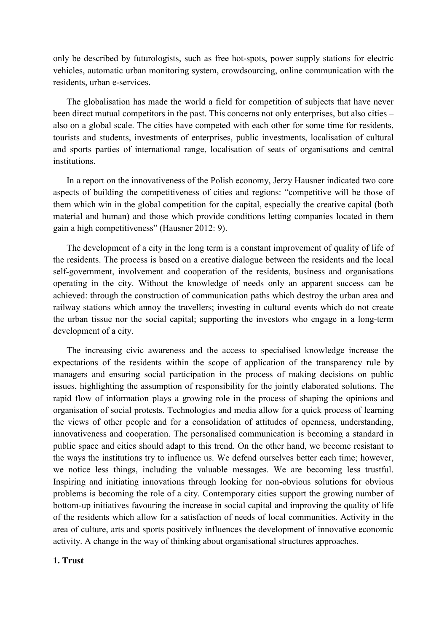only be described by futurologists, such as free hot-spots, power supply stations for electric vehicles, automatic urban monitoring system, crowdsourcing, online communication with the residents, urban e-services.

The globalisation has made the world a field for competition of subjects that have never been direct mutual competitors in the past. This concerns not only enterprises, but also cities – also on a global scale. The cities have competed with each other for some time for residents, tourists and students, investments of enterprises, public investments, localisation of cultural and sports parties of international range, localisation of seats of organisations and central institutions.

In a report on the innovativeness of the Polish economy, Jerzy Hausner indicated two core aspects of building the competitiveness of cities and regions: "competitive will be those of them which win in the global competition for the capital, especially the creative capital (both material and human) and those which provide conditions letting companies located in them gain a high competitiveness" (Hausner 2012: 9).

The development of a city in the long term is a constant improvement of quality of life of the residents. The process is based on a creative dialogue between the residents and the local self-government, involvement and cooperation of the residents, business and organisations operating in the city. Without the knowledge of needs only an apparent success can be achieved: through the construction of communication paths which destroy the urban area and railway stations which annoy the travellers; investing in cultural events which do not create the urban tissue nor the social capital; supporting the investors who engage in a long-term development of a city.

The increasing civic awareness and the access to specialised knowledge increase the expectations of the residents within the scope of application of the transparency rule by managers and ensuring social participation in the process of making decisions on public issues, highlighting the assumption of responsibility for the jointly elaborated solutions. The rapid flow of information plays a growing role in the process of shaping the opinions and organisation of social protests. Technologies and media allow for a quick process of learning the views of other people and for a consolidation of attitudes of openness, understanding, innovativeness and cooperation. The personalised communication is becoming a standard in public space and cities should adapt to this trend. On the other hand, we become resistant to the ways the institutions try to influence us. We defend ourselves better each time; however, we notice less things, including the valuable messages. We are becoming less trustful. Inspiring and initiating innovations through looking for non-obvious solutions for obvious problems is becoming the role of a city. Contemporary cities support the growing number of bottom-up initiatives favouring the increase in social capital and improving the quality of life of the residents which allow for a satisfaction of needs of local communities. Activity in the area of culture, arts and sports positively influences the development of innovative economic activity. A change in the way of thinking about organisational structures approaches.

## 1. Trust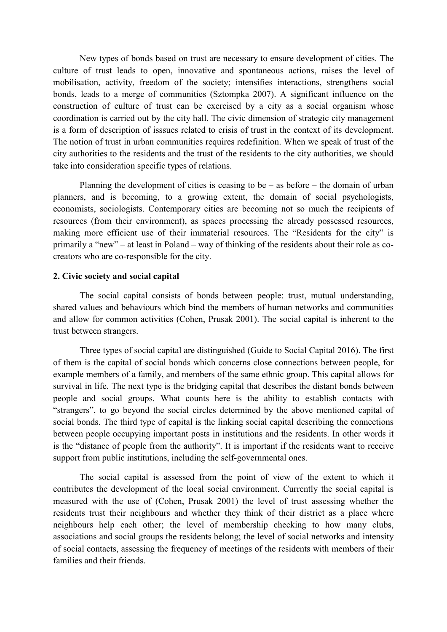New types of bonds based on trust are necessary to ensure development of cities. The culture of trust leads to open, innovative and spontaneous actions, raises the level of mobilisation, activity, freedom of the society; intensifies interactions, strengthens social bonds, leads to a merge of communities (Sztompka 2007). A significant influence on the construction of culture of trust can be exercised by a city as a social organism whose coordination is carried out by the city hall. The civic dimension of strategic city management is a form of description of isssues related to crisis of trust in the context of its development. The notion of trust in urban communities requires redefinition. When we speak of trust of the city authorities to the residents and the trust of the residents to the city authorities, we should take into consideration specific types of relations.

Planning the development of cities is ceasing to be  $-$  as before  $-$  the domain of urban planners, and is becoming, to a growing extent, the domain of social psychologists, economists, sociologists. Contemporary cities are becoming not so much the recipients of resources (from their environment), as spaces processing the already possessed resources, making more efficient use of their immaterial resources. The "Residents for the city" is primarily a "new" – at least in Poland – way of thinking of the residents about their role as cocreators who are co-responsible for the city.

## 2. Civic society and social capital

The social capital consists of bonds between people: trust, mutual understanding, shared values and behaviours which bind the members of human networks and communities and allow for common activities (Cohen, Prusak 2001). The social capital is inherent to the trust between strangers.

Three types of social capital are distinguished (Guide to Social Capital 2016). The first of them is the capital of social bonds which concerns close connections between people, for example members of a family, and members of the same ethnic group. This capital allows for survival in life. The next type is the bridging capital that describes the distant bonds between people and social groups. What counts here is the ability to establish contacts with "strangers", to go beyond the social circles determined by the above mentioned capital of social bonds. The third type of capital is the linking social capital describing the connections between people occupying important posts in institutions and the residents. In other words it is the "distance of people from the authority". It is important if the residents want to receive support from public institutions, including the self-governmental ones.

The social capital is assessed from the point of view of the extent to which it contributes the development of the local social environment. Currently the social capital is measured with the use of (Cohen, Prusak 2001) the level of trust assessing whether the residents trust their neighbours and whether they think of their district as a place where neighbours help each other; the level of membership checking to how many clubs, associations and social groups the residents belong; the level of social networks and intensity of social contacts, assessing the frequency of meetings of the residents with members of their families and their friends.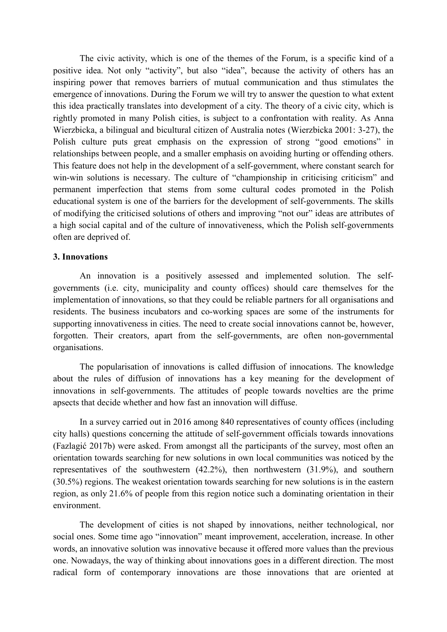The civic activity, which is one of the themes of the Forum, is a specific kind of a positive idea. Not only "activity", but also "idea", because the activity of others has an inspiring power that removes barriers of mutual communication and thus stimulates the emergence of innovations. During the Forum we will try to answer the question to what extent this idea practically translates into development of a city. The theory of a civic city, which is rightly promoted in many Polish cities, is subject to a confrontation with reality. As Anna Wierzbicka, a bilingual and bicultural citizen of Australia notes (Wierzbicka 2001: 3-27), the Polish culture puts great emphasis on the expression of strong "good emotions" in relationships between people, and a smaller emphasis on avoiding hurting or offending others. This feature does not help in the development of a self-government, where constant search for win-win solutions is necessary. The culture of "championship in criticising criticism" and permanent imperfection that stems from some cultural codes promoted in the Polish educational system is one of the barriers for the development of self-governments. The skills of modifying the criticised solutions of others and improving "not our" ideas are attributes of a high social capital and of the culture of innovativeness, which the Polish self-governments often are deprived of.

#### 3. Innovations

An innovation is a positively assessed and implemented solution. The selfgovernments (i.e. city, municipality and county offices) should care themselves for the implementation of innovations, so that they could be reliable partners for all organisations and residents. The business incubators and co-working spaces are some of the instruments for supporting innovativeness in cities. The need to create social innovations cannot be, however, forgotten. Their creators, apart from the self-governments, are often non-governmental organisations.

The popularisation of innovations is called diffusion of innocations. The knowledge about the rules of diffusion of innovations has a key meaning for the development of innovations in self-governments. The attitudes of people towards novelties are the prime apsects that decide whether and how fast an innovation will diffuse.

In a survey carried out in 2016 among 840 representatives of county offices (including city halls) questions concerning the attitude of self-government officials towards innovations (Fazlagić 2017b) were asked. From amongst all the participants of the survey, most often an orientation towards searching for new solutions in own local communities was noticed by the representatives of the southwestern (42.2%), then northwestern (31.9%), and southern (30.5%) regions. The weakest orientation towards searching for new solutions is in the eastern region, as only 21.6% of people from this region notice such a dominating orientation in their environment.

The development of cities is not shaped by innovations, neither technological, nor social ones. Some time ago "innovation" meant improvement, acceleration, increase. In other words, an innovative solution was innovative because it offered more values than the previous one. Nowadays, the way of thinking about innovations goes in a different direction. The most radical form of contemporary innovations are those innovations that are oriented at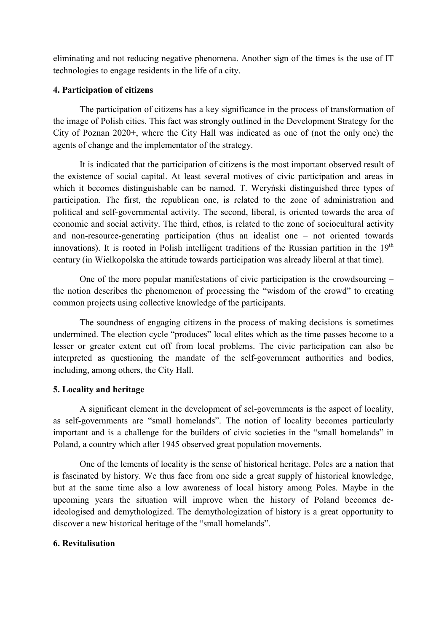eliminating and not reducing negative phenomena. Another sign of the times is the use of IT technologies to engage residents in the life of a city.

## 4. Participation of citizens

The participation of citizens has a key significance in the process of transformation of the image of Polish cities. This fact was strongly outlined in the Development Strategy for the City of Poznan 2020+, where the City Hall was indicated as one of (not the only one) the agents of change and the implementator of the strategy.

It is indicated that the participation of citizens is the most important observed result of the existence of social capital. At least several motives of civic participation and areas in which it becomes distinguishable can be named. T. Weryński distinguished three types of participation. The first, the republican one, is related to the zone of administration and political and self-governmental activity. The second, liberal, is oriented towards the area of economic and social activity. The third, ethos, is related to the zone of sociocultural activity and non-resource-generating participation (thus an idealist one – not oriented towards innovations). It is rooted in Polish intelligent traditions of the Russian partition in the  $19<sup>th</sup>$ century (in Wielkopolska the attitude towards participation was already liberal at that time).

One of the more popular manifestations of civic participation is the crowdsourcing – the notion describes the phenomenon of processing the "wisdom of the crowd" to creating common projects using collective knowledge of the participants.

The soundness of engaging citizens in the process of making decisions is sometimes undermined. The election cycle "produces" local elites which as the time passes become to a lesser or greater extent cut off from local problems. The civic participation can also be interpreted as questioning the mandate of the self-government authorities and bodies, including, among others, the City Hall.

# 5. Locality and heritage

A significant element in the development of sel-governments is the aspect of locality, as self-governments are "small homelands". The notion of locality becomes particularly important and is a challenge for the builders of civic societies in the "small homelands" in Poland, a country which after 1945 observed great population movements.

One of the lements of locality is the sense of historical heritage. Poles are a nation that is fascinated by history. We thus face from one side a great supply of historical knowledge, but at the same time also a low awareness of local history among Poles. Maybe in the upcoming years the situation will improve when the history of Poland becomes deideologised and demythologized. The demythologization of history is a great opportunity to discover a new historical heritage of the "small homelands".

## 6. Revitalisation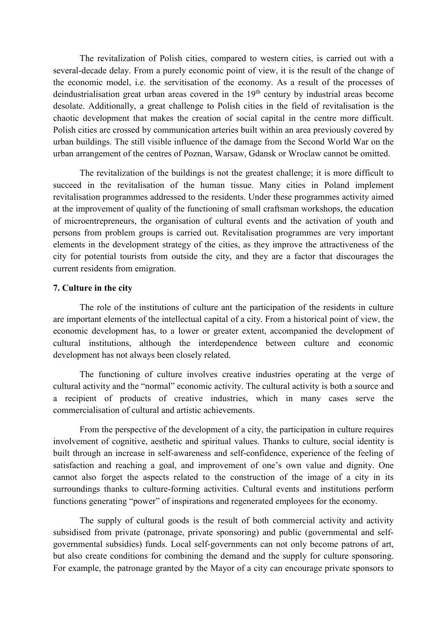The revitalization of Polish cities, compared to western cities, is carried out with a several-decade delay. From a purely economic point of view, it is the result of the change of the economic model, i.e. the servitisation of the economy. As a result of the processes of deindustrialisation great urban areas covered in the 19<sup>th</sup> century by industrial areas become desolate. Additionally, a great challenge to Polish cities in the field of revitalisation is the chaotic development that makes the creation of social capital in the centre more difficult. Polish cities are crossed by communication arteries built within an area previously covered by urban buildings. The still visible influence of the damage from the Second World War on the urban arrangement of the centres of Poznan, Warsaw, Gdansk or Wroclaw cannot be omitted.

The revitalization of the buildings is not the greatest challenge; it is more difficult to succeed in the revitalisation of the human tissue. Many cities in Poland implement revitalisation programmes addressed to the residents. Under these programmes activity aimed at the improvement of quality of the functioning of small craftsman workshops, the education of microentrepreneurs, the organisation of cultural events and the activation of youth and persons from problem groups is carried out. Revitalisation programmes are very important elements in the development strategy of the cities, as they improve the attractiveness of the city for potential tourists from outside the city, and they are a factor that discourages the current residents from emigration.

## 7. Culture in the city

The role of the institutions of culture ant the participation of the residents in culture are important elements of the intellectual capital of a city. From a historical point of view, the economic development has, to a lower or greater extent, accompanied the development of cultural institutions, although the interdependence between culture and economic development has not always been closely related.

The functioning of culture involves creative industries operating at the verge of cultural activity and the "normal" economic activity. The cultural activity is both a source and a recipient of products of creative industries, which in many cases serve the commercialisation of cultural and artistic achievements.

From the perspective of the development of a city, the participation in culture requires involvement of cognitive, aesthetic and spiritual values. Thanks to culture, social identity is built through an increase in self-awareness and self-confidence, experience of the feeling of satisfaction and reaching a goal, and improvement of one's own value and dignity. One cannot also forget the aspects related to the construction of the image of a city in its surroundings thanks to culture-forming activities. Cultural events and institutions perform functions generating "power" of inspirations and regenerated employees for the economy.

The supply of cultural goods is the result of both commercial activity and activity subsidised from private (patronage, private sponsoring) and public (governmental and selfgovernmental subsidies) funds. Local self-governments can not only become patrons of art, but also create conditions for combining the demand and the supply for culture sponsoring. For example, the patronage granted by the Mayor of a city can encourage private sponsors to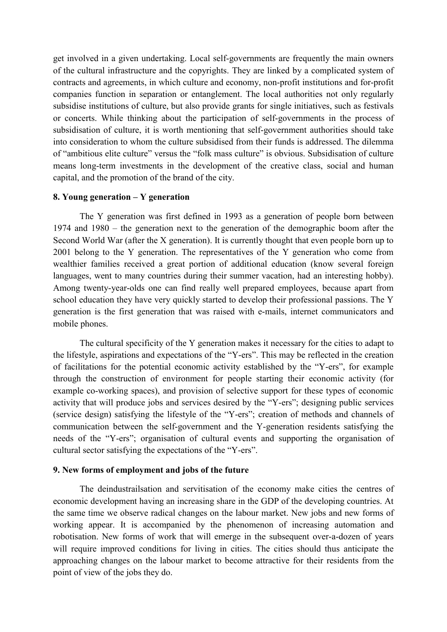get involved in a given undertaking. Local self-governments are frequently the main owners of the cultural infrastructure and the copyrights. They are linked by a complicated system of contracts and agreements, in which culture and economy, non-profit institutions and for-profit companies function in separation or entanglement. The local authorities not only regularly subsidise institutions of culture, but also provide grants for single initiatives, such as festivals or concerts. While thinking about the participation of self-governments in the process of subsidisation of culture, it is worth mentioning that self-government authorities should take into consideration to whom the culture subsidised from their funds is addressed. The dilemma of "ambitious elite culture" versus the "folk mass culture" is obvious. Subsidisation of culture means long-term investments in the development of the creative class, social and human capital, and the promotion of the brand of the city.

## 8. Young generation – Y generation

The Y generation was first defined in 1993 as a generation of people born between 1974 and 1980 – the generation next to the generation of the demographic boom after the Second World War (after the X generation). It is currently thought that even people born up to 2001 belong to the Y generation. The representatives of the Y generation who come from wealthier families received a great portion of additional education (know several foreign languages, went to many countries during their summer vacation, had an interesting hobby). Among twenty-year-olds one can find really well prepared employees, because apart from school education they have very quickly started to develop their professional passions. The Y generation is the first generation that was raised with e-mails, internet communicators and mobile phones.

The cultural specificity of the Y generation makes it necessary for the cities to adapt to the lifestyle, aspirations and expectations of the "Y-ers". This may be reflected in the creation of facilitations for the potential economic activity established by the "Y-ers", for example through the construction of environment for people starting their economic activity (for example co-working spaces), and provision of selective support for these types of economic activity that will produce jobs and services desired by the "Y-ers"; designing public services (service design) satisfying the lifestyle of the "Y-ers"; creation of methods and channels of communication between the self-government and the Y-generation residents satisfying the needs of the "Y-ers"; organisation of cultural events and supporting the organisation of cultural sector satisfying the expectations of the "Y-ers".

#### 9. New forms of employment and jobs of the future

The deindustrailsation and servitisation of the economy make cities the centres of economic development having an increasing share in the GDP of the developing countries. At the same time we observe radical changes on the labour market. New jobs and new forms of working appear. It is accompanied by the phenomenon of increasing automation and robotisation. New forms of work that will emerge in the subsequent over-a-dozen of years will require improved conditions for living in cities. The cities should thus anticipate the approaching changes on the labour market to become attractive for their residents from the point of view of the jobs they do.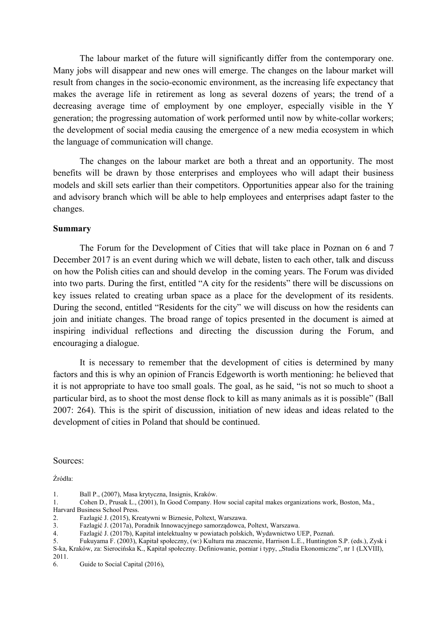The labour market of the future will significantly differ from the contemporary one. Many jobs will disappear and new ones will emerge. The changes on the labour market will result from changes in the socio-economic environment, as the increasing life expectancy that makes the average life in retirement as long as several dozens of years; the trend of a decreasing average time of employment by one employer, especially visible in the Y generation; the progressing automation of work performed until now by white-collar workers; the development of social media causing the emergence of a new media ecosystem in which the language of communication will change.

The changes on the labour market are both a threat and an opportunity. The most benefits will be drawn by those enterprises and employees who will adapt their business models and skill sets earlier than their competitors. Opportunities appear also for the training and advisory branch which will be able to help employees and enterprises adapt faster to the changes.

#### Summary

The Forum for the Development of Cities that will take place in Poznan on 6 and 7 December 2017 is an event during which we will debate, listen to each other, talk and discuss on how the Polish cities can and should develop in the coming years. The Forum was divided into two parts. During the first, entitled "A city for the residents" there will be discussions on key issues related to creating urban space as a place for the development of its residents. During the second, entitled "Residents for the city" we will discuss on how the residents can join and initiate changes. The broad range of topics presented in the document is aimed at inspiring individual reflections and directing the discussion during the Forum, and encouraging a dialogue.

It is necessary to remember that the development of cities is determined by many factors and this is why an opinion of Francis Edgeworth is worth mentioning: he believed that it is not appropriate to have too small goals. The goal, as he said, "is not so much to shoot a particular bird, as to shoot the most dense flock to kill as many animals as it is possible" (Ball 2007: 264). This is the spirit of discussion, initiation of new ideas and ideas related to the development of cities in Poland that should be continued.

Sources:

Źródła:

<sup>1.</sup> Ball P., (2007), Masa krytyczna, Insignis, Kraków.

<sup>1.</sup> Cohen D., Prusak L., (2001), In Good Company. How social capital makes organizations work, Boston, Ma., Harvard Business School Press.

<sup>2.</sup> Fazlagić J. (2015), Kreatywni w Biznesie, Poltext, Warszawa.<br>3. Fazlagić J. (2017a), Poradnik Innowacyjnego samorządowca,

<sup>3.</sup> Fazlagić J. (2017a), Poradnik Innowacyjnego samorządowca, Poltext, Warszawa.

<sup>4.</sup> Fazlagić J. (2017b), Kapitał intelektualny w powiatach polskich, Wydawnictwo UEP, Poznań.

<sup>5.</sup> Fukuyama F. (2003), Kapitał społeczny, (w:) Kultura ma znaczenie, Harrison L.E., Huntington S.P. (eds.), Zysk i S-ka, Kraków, za: Sierocińska K., Kapitał społeczny. Definiowanie, pomiar i typy, "Studia Ekonomiczne", nr 1 (LXVIII), 2011.

<sup>6.</sup> Guide to Social Capital (2016),